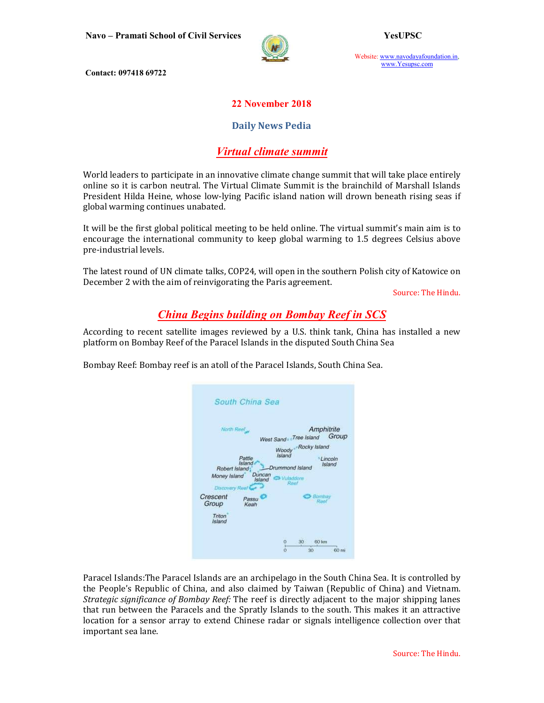

Website: www.navodayafoundation.in, www.Yesupsc.com

Contact: 097418 69722

#### 22 November 2018

#### Daily News Pedia

## Virtual climate summit

World leaders to participate in an innovative climate change summit that will take place entirely online so it is carbon neutral. The Virtual Climate Summit is the brainchild of Marshall Islands President Hilda Heine, whose low-lying Pacific island nation will drown beneath rising seas if global warming continues unabated.

It will be the first global political meeting to be held online. The virtual summit's main aim is to encourage the international community to keep global warming to 1.5 degrees Celsius above pre-industrial levels.

The latest round of UN climate talks, COP24, will open in the southern Polish city of Katowice on December 2 with the aim of reinvigorating the Paris agreement.

Source: The Hindu.

# China Begins building on Bombay Reef in SCS

According to recent satellite images reviewed by a U.S. think tank, China has installed a new platform on Bombay Reef of the Paracel Islands in the disputed South China Sea

Bombay Reef: Bombay reef is an atoll of the Paracel Islands, South China Sea.

| North Reef                                       |                                      | Amphitrite<br>Group<br>West Sand Tree Island                                                               |
|--------------------------------------------------|--------------------------------------|------------------------------------------------------------------------------------------------------------|
| Robert Island:<br>Money Island<br>Discovery Ree. | Pattle<br>Island<br>Duncan<br>Island | Rocky Island<br>Woody<br>Island<br><b>Lincoln</b><br><b>Island</b><br>Drummond Island<br>Wulsdoore<br>Reel |
| Crescent<br>Group<br><b>Triton</b><br>Island     | Passu<br>Keah                        | Bombay                                                                                                     |

Paracel Islands:The Paracel Islands are an archipelago in the South China Sea. It is controlled by the People's Republic of China, and also claimed by Taiwan (Republic of China) and Vietnam. Strategic significance of Bombay Reef: The reef is directly adjacent to the major shipping lanes that run between the Paracels and the Spratly Islands to the south. This makes it an attractive location for a sensor array to extend Chinese radar or signals intelligence collection over that important sea lane.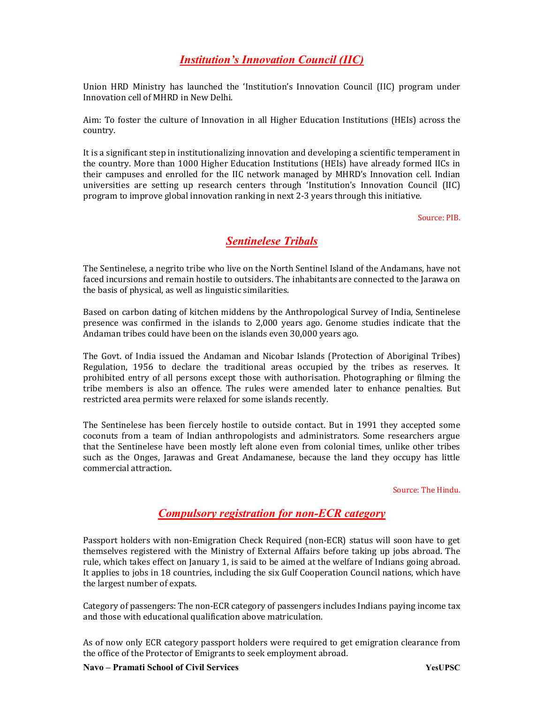# Institution's Innovation Council (IIC)

Union HRD Ministry has launched the 'Institution's Innovation Council (IIC) program under Innovation cell of MHRD in New Delhi.

Aim: To foster the culture of Innovation in all Higher Education Institutions (HEIs) across the country.

It is a significant step in institutionalizing innovation and developing a scientific temperament in the country. More than 1000 Higher Education Institutions (HEIs) have already formed IICs in their campuses and enrolled for the IIC network managed by MHRD's Innovation cell. Indian universities are setting up research centers through 'Institution's Innovation Council (IIC) program to improve global innovation ranking in next 2-3 years through this initiative.

Source: PIB.

## Sentinelese Tribals

The Sentinelese, a negrito tribe who live on the North Sentinel Island of the Andamans, have not faced incursions and remain hostile to outsiders. The inhabitants are connected to the Jarawa on the basis of physical, as well as linguistic similarities.

Based on carbon dating of kitchen middens by the Anthropological Survey of India, Sentinelese presence was confirmed in the islands to 2,000 years ago. Genome studies indicate that the Andaman tribes could have been on the islands even 30,000 years ago.

The Govt. of India issued the Andaman and Nicobar Islands (Protection of Aboriginal Tribes) Regulation, 1956 to declare the traditional areas occupied by the tribes as reserves. It prohibited entry of all persons except those with authorisation. Photographing or filming the tribe members is also an offence. The rules were amended later to enhance penalties. But restricted area permits were relaxed for some islands recently.

The Sentinelese has been fiercely hostile to outside contact. But in 1991 they accepted some coconuts from a team of Indian anthropologists and administrators. Some researchers argue that the Sentinelese have been mostly left alone even from colonial times, unlike other tribes such as the Onges, Jarawas and Great Andamanese, because the land they occupy has little commercial attraction.

Source: The Hindu.

## Compulsory registration for non-ECR category

Passport holders with non-Emigration Check Required (non-ECR) status will soon have to get themselves registered with the Ministry of External Affairs before taking up jobs abroad. The rule, which takes effect on January 1, is said to be aimed at the welfare of Indians going abroad. It applies to jobs in 18 countries, including the six Gulf Cooperation Council nations, which have the largest number of expats.

Category of passengers: The non-ECR category of passengers includes Indians paying income tax and those with educational qualification above matriculation.

As of now only ECR category passport holders were required to get emigration clearance from the office of the Protector of Emigrants to seek employment abroad.

Navo – Pramati School of Civil Services YesUPSC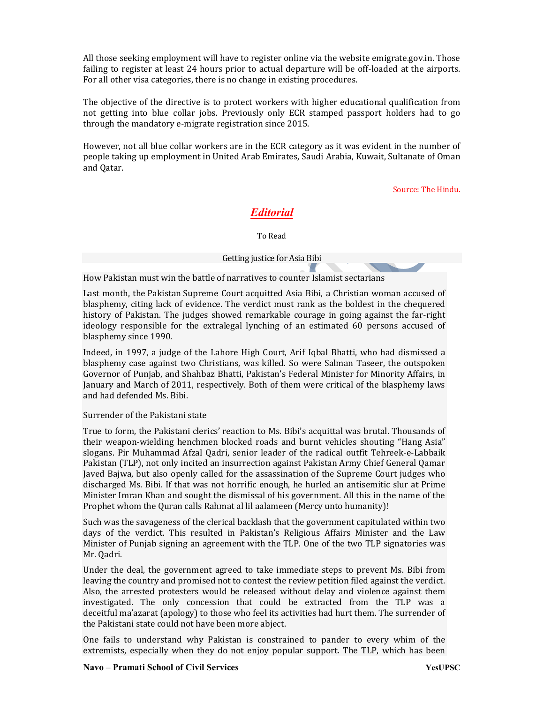All those seeking employment will have to register online via the website emigrate.gov.in. Those failing to register at least 24 hours prior to actual departure will be off-loaded at the airports. For all other visa categories, there is no change in existing procedures.

The objective of the directive is to protect workers with higher educational qualification from not getting into blue collar jobs. Previously only ECR stamped passport holders had to go through the mandatory e-migrate registration since 2015.

However, not all blue collar workers are in the ECR category as it was evident in the number of people taking up employment in United Arab Emirates, Saudi Arabia, Kuwait, Sultanate of Oman and Qatar.

Source: The Hindu.

# Editorial

To Read

#### Getting justice for Asia Bibi

How Pakistan must win the battle of narratives to counter Islamist sectarians

Last month, the Pakistan Supreme Court acquitted Asia Bibi, a Christian woman accused of blasphemy, citing lack of evidence. The verdict must rank as the boldest in the chequered history of Pakistan. The judges showed remarkable courage in going against the far-right ideology responsible for the extralegal lynching of an estimated 60 persons accused of blasphemy since 1990.

Indeed, in 1997, a judge of the Lahore High Court, Arif Iqbal Bhatti, who had dismissed a blasphemy case against two Christians, was killed. So were Salman Taseer, the outspoken Governor of Punjab, and Shahbaz Bhatti, Pakistan's Federal Minister for Minority Affairs, in January and March of 2011, respectively. Both of them were critical of the blasphemy laws and had defended Ms. Bibi.

#### Surrender of the Pakistani state

True to form, the Pakistani clerics' reaction to Ms. Bibi's acquittal was brutal. Thousands of their weapon-wielding henchmen blocked roads and burnt vehicles shouting "Hang Asia" slogans. Pir Muhammad Afzal Qadri, senior leader of the radical outfit Tehreek-e-Labbaik Pakistan (TLP), not only incited an insurrection against Pakistan Army Chief General Qamar Javed Bajwa, but also openly called for the assassination of the Supreme Court judges who discharged Ms. Bibi. If that was not horrific enough, he hurled an antisemitic slur at Prime Minister Imran Khan and sought the dismissal of his government. All this in the name of the Prophet whom the Quran calls Rahmat al lil aalameen (Mercy unto humanity)!

Such was the savageness of the clerical backlash that the government capitulated within two days of the verdict. This resulted in Pakistan's Religious Affairs Minister and the Law Minister of Punjab signing an agreement with the TLP. One of the two TLP signatories was Mr. Qadri.

Under the deal, the government agreed to take immediate steps to prevent Ms. Bibi from leaving the country and promised not to contest the review petition filed against the verdict. Also, the arrested protesters would be released without delay and violence against them investigated. The only concession that could be extracted from the TLP was a deceitful ma'azarat (apology) to those who feel its activities had hurt them. The surrender of the Pakistani state could not have been more abject.

One fails to understand why Pakistan is constrained to pander to every whim of the extremists, especially when they do not enjoy popular support. The TLP, which has been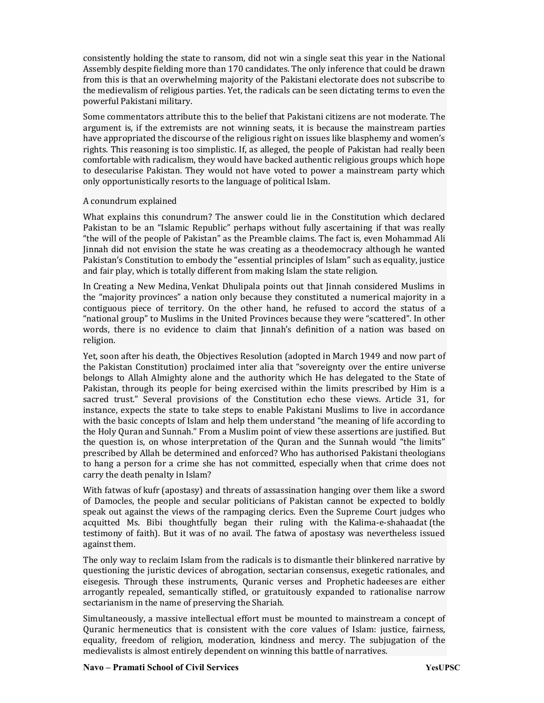consistently holding the state to ransom, did not win a single seat this year in the National Assembly despite fielding more than 170 candidates. The only inference that could be drawn from this is that an overwhelming majority of the Pakistani electorate does not subscribe to the medievalism of religious parties. Yet, the radicals can be seen dictating terms to even the powerful Pakistani military.

Some commentators attribute this to the belief that Pakistani citizens are not moderate. The argument is, if the extremists are not winning seats, it is because the mainstream parties have appropriated the discourse of the religious right on issues like blasphemy and women's rights. This reasoning is too simplistic. If, as alleged, the people of Pakistan had really been comfortable with radicalism, they would have backed authentic religious groups which hope to desecularise Pakistan. They would not have voted to power a mainstream party which only opportunistically resorts to the language of political Islam.

#### A conundrum explained

What explains this conundrum? The answer could lie in the Constitution which declared Pakistan to be an "Islamic Republic" perhaps without fully ascertaining if that was really "the will of the people of Pakistan" as the Preamble claims. The fact is, even Mohammad Ali Jinnah did not envision the state he was creating as a theodemocracy although he wanted Pakistan's Constitution to embody the "essential principles of Islam" such as equality, justice and fair play, which is totally different from making Islam the state religion.

In Creating a New Medina, Venkat Dhulipala points out that Jinnah considered Muslims in the "majority provinces" a nation only because they constituted a numerical majority in a contiguous piece of territory. On the other hand, he refused to accord the status of a "national group" to Muslims in the United Provinces because they were "scattered". In other words, there is no evidence to claim that Jinnah's definition of a nation was based on religion.

Yet, soon after his death, the Objectives Resolution (adopted in March 1949 and now part of the Pakistan Constitution) proclaimed inter alia that "sovereignty over the entire universe belongs to Allah Almighty alone and the authority which He has delegated to the State of Pakistan, through its people for being exercised within the limits prescribed by Him is a sacred trust." Several provisions of the Constitution echo these views. Article 31, for instance, expects the state to take steps to enable Pakistani Muslims to live in accordance with the basic concepts of Islam and help them understand "the meaning of life according to the Holy Quran and Sunnah." From a Muslim point of view these assertions are justified. But the question is, on whose interpretation of the Quran and the Sunnah would "the limits" prescribed by Allah be determined and enforced? Who has authorised Pakistani theologians to hang a person for a crime she has not committed, especially when that crime does not carry the death penalty in Islam?

With fatwas of kufr (apostasy) and threats of assassination hanging over them like a sword of Damocles, the people and secular politicians of Pakistan cannot be expected to boldly speak out against the views of the rampaging clerics. Even the Supreme Court judges who acquitted Ms. Bibi thoughtfully began their ruling with the Kalima-e-shahaadat (the testimony of faith). But it was of no avail. The fatwa of apostasy was nevertheless issued against them.

The only way to reclaim Islam from the radicals is to dismantle their blinkered narrative by questioning the juristic devices of abrogation, sectarian consensus, exegetic rationales, and eisegesis. Through these instruments, Quranic verses and Prophetic hadeeses are either arrogantly repealed, semantically stifled, or gratuitously expanded to rationalise narrow sectarianism in the name of preserving the Shariah.

Simultaneously, a massive intellectual effort must be mounted to mainstream a concept of Quranic hermeneutics that is consistent with the core values of Islam: justice, fairness, equality, freedom of religion, moderation, kindness and mercy. The subjugation of the medievalists is almost entirely dependent on winning this battle of narratives.